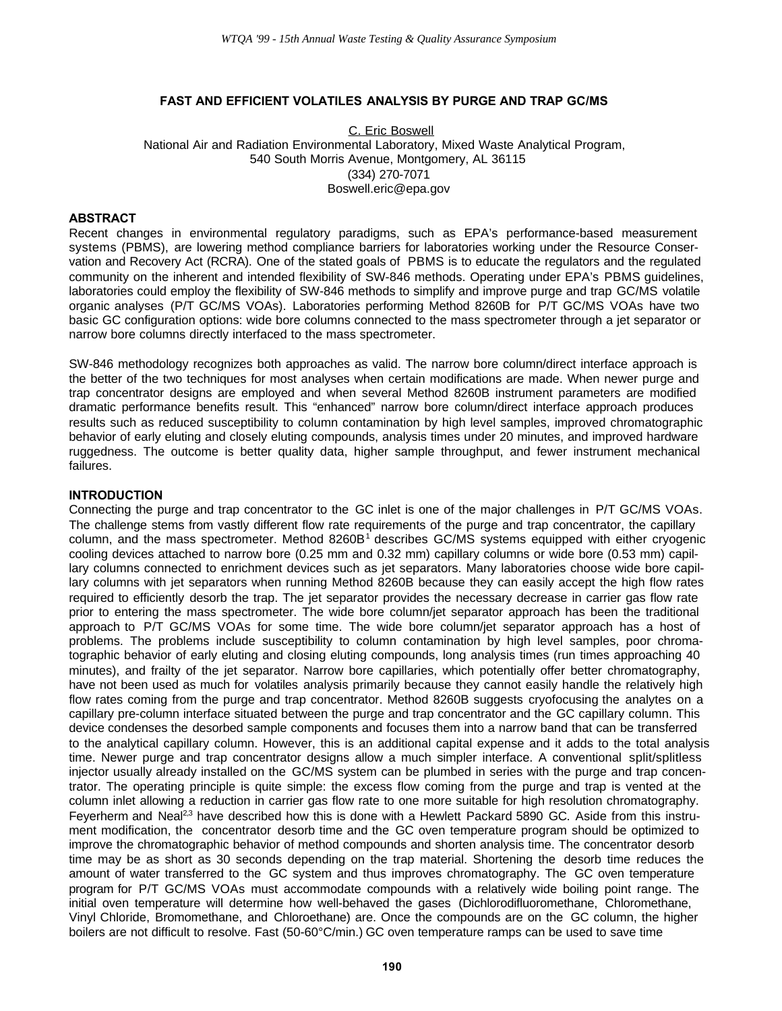## **FAST AND EFFICIENT VOLATILES ANALYSIS BY PURGE AND TRAP GC/MS**

C. Eric Boswell National Air and Radiation Environmental Laboratory, Mixed Waste Analytical Program, 540 South Morris Avenue, Montgomery, AL 36115 (334) 270-7071 Boswell.eric@epa.gov

#### **ABSTRACT**

Recent changes in environmental regulatory paradigms, such as EPA's performance-based measurement systems (PBMS), are lowering method compliance barriers for laboratories working under the Resource Conservation and Recovery Act (RCRA). One of the stated goals of PBMS is to educate the regulators and the regulated community on the inherent and intended flexibility of SW-846 methods. Operating under EPA's PBMS guidelines, laboratories could employ the flexibility of SW-846 methods to simplify and improve purge and trap GC/MS volatile organic analyses (P/T GC/MS VOAs). Laboratories performing Method 8260B for P/T GC/MS VOAs have two basic GC configuration options: wide bore columns connected to the mass spectrometer through a jet separator or narrow bore columns directly interfaced to the mass spectrometer.

SW-846 methodology recognizes both approaches as valid. The narrow bore column/direct interface approach is the better of the two techniques for most analyses when certain modifications are made. When newer purge and trap concentrator designs are employed and when several Method 8260B instrument parameters are modified dramatic performance benefits result. This "enhanced" narrow bore column/direct interface approach produces results such as reduced susceptibility to column contamination by high level samples, improved chromatographic behavior of early eluting and closely eluting compounds, analysis times under 20 minutes, and improved hardware ruggedness. The outcome is better quality data, higher sample throughput, and fewer instrument mechanical failures.

#### **INTRODUCTION**

Connecting the purge and trap concentrator to the GC inlet is one of the major challenges in P/T GC/MS VOAs. The challenge stems from vastly different flow rate requirements of the purge and trap concentrator, the capillary column, and the mass spectrometer. Method 8260B<sup>1</sup> describes GC/MS systems equipped with either cryogenic cooling devices attached to narrow bore (0.25 mm and 0.32 mm) capillary columns or wide bore (0.53 mm) capillary columns connected to enrichment devices such as jet separators. Many laboratories choose wide bore capillary columns with jet separators when running Method 8260B because they can easily accept the high flow rates required to efficiently desorb the trap. The jet separator provides the necessary decrease in carrier gas flow rate prior to entering the mass spectrometer. The wide bore column/jet separator approach has been the traditional approach to P/T GC/MS VOAs for some time. The wide bore column/jet separator approach has a host of problems. The problems include susceptibility to column contamination by high level samples, poor chromatographic behavior of early eluting and closing eluting compounds, long analysis times (run times approaching 40 minutes), and frailty of the jet separator. Narrow bore capillaries, which potentially offer better chromatography, have not been used as much for volatiles analysis primarily because they cannot easily handle the relatively high flow rates coming from the purge and trap concentrator. Method 8260B suggests cryofocusing the analytes on a capillary pre-column interface situated between the purge and trap concentrator and the GC capillary column. This device condenses the desorbed sample components and focuses them into a narrow band that can be transferred to the analytical capillary column. However, this is an additional capital expense and it adds to the total analysis time. Newer purge and trap concentrator designs allow a much simpler interface. A conventional split/splitless injector usually already installed on the GC/MS system can be plumbed in series with the purge and trap concentrator. The operating principle is quite simple: the excess flow coming from the purge and trap is vented at the column inlet allowing a reduction in carrier gas flow rate to one more suitable for high resolution chromatography. Feyerherm and Neal<sup>2,3</sup> have described how this is done with a Hewlett Packard 5890 GC. Aside from this instrument modification, the concentrator desorb time and the GC oven temperature program should be optimized to improve the chromatographic behavior of method compounds and shorten analysis time. The concentrator desorb time may be as short as 30 seconds depending on the trap material. Shortening the desorb time reduces the amount of water transferred to the GC system and thus improves chromatography. The GC oven temperature program for P/T GC/MS VOAs must accommodate compounds with a relatively wide boiling point range. The initial oven temperature will determine how well-behaved the gases (Dichlorodifluoromethane, Chloromethane, Vinyl Chloride, Bromomethane, and Chloroethane) are. Once the compounds are on the GC column, the higher boilers are not difficult to resolve. Fast (50-60°C/min.) GC oven temperature ramps can be used to save time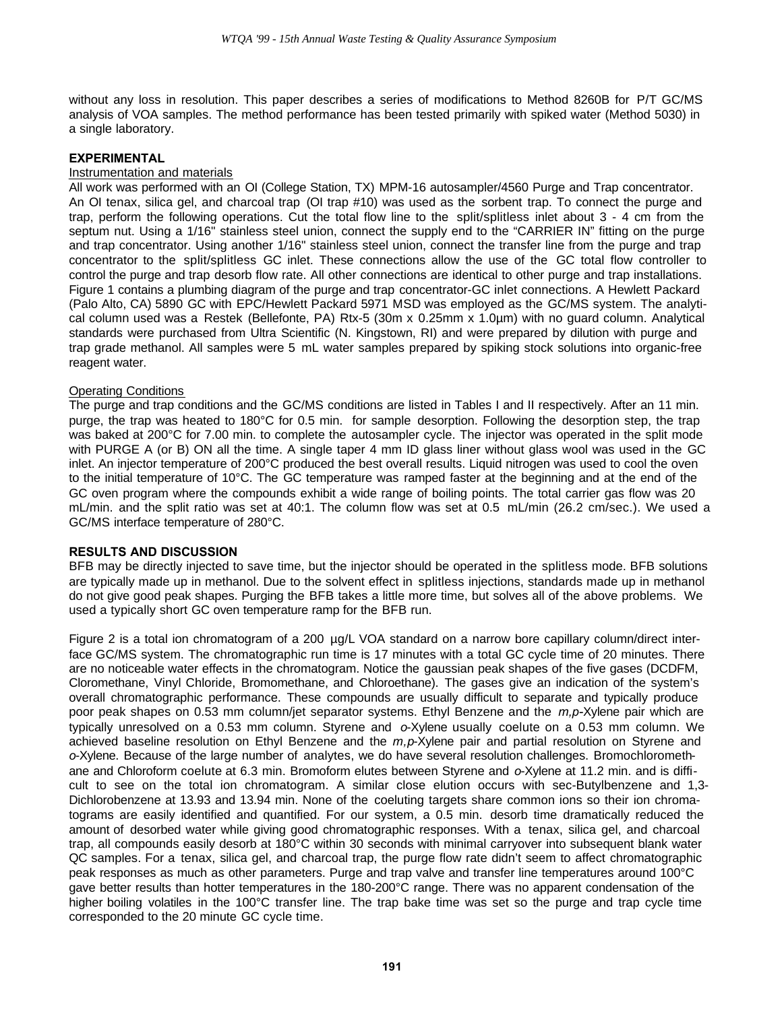without any loss in resolution. This paper describes a series of modifications to Method 8260B for P/T GC/MS analysis of VOA samples. The method performance has been tested primarily with spiked water (Method 5030) in a single laboratory.

## **EXPERIMENTAL**

#### Instrumentation and materials

All work was performed with an OI (College Station, TX) MPM-16 autosampler/4560 Purge and Trap concentrator. An OI tenax, silica gel, and charcoal trap (OI trap #10) was used as the sorbent trap. To connect the purge and trap, perform the following operations. Cut the total flow line to the split/splitless inlet about 3 - 4 cm from the septum nut. Using a 1/16" stainless steel union, connect the supply end to the "CARRIER IN" fitting on the purge and trap concentrator. Using another 1/16" stainless steel union, connect the transfer line from the purge and trap concentrator to the split/splitless GC inlet. These connections allow the use of the GC total flow controller to control the purge and trap desorb flow rate. All other connections are identical to other purge and trap installations. Figure 1 contains a plumbing diagram of the purge and trap concentrator-GC inlet connections. A Hewlett Packard (Palo Alto, CA) 5890 GC with EPC/Hewlett Packard 5971 MSD was employed as the GC/MS system. The analytical column used was a Restek (Bellefonte, PA) Rtx-5 (30m x 0.25mm x 1.0µm) with no guard column. Analytical standards were purchased from Ultra Scientific (N. Kingstown, RI) and were prepared by dilution with purge and trap grade methanol. All samples were 5 mL water samples prepared by spiking stock solutions into organic-free reagent water.

### Operating Conditions

The purge and trap conditions and the GC/MS conditions are listed in Tables I and II respectively. After an 11 min. purge, the trap was heated to 180°C for 0.5 min. for sample desorption. Following the desorption step, the trap was baked at 200°C for 7.00 min. to complete the autosampler cycle. The injector was operated in the split mode with PURGE A (or B) ON all the time. A single taper 4 mm ID glass liner without glass wool was used in the GC inlet. An injector temperature of 200°C produced the best overall results. Liquid nitrogen was used to cool the oven to the initial temperature of 10°C. The GC temperature was ramped faster at the beginning and at the end of the GC oven program where the compounds exhibit a wide range of boiling points. The total carrier gas flow was 20 mL/min. and the split ratio was set at 40:1. The column flow was set at 0.5 mL/min (26.2 cm/sec.). We used a GC/MS interface temperature of 280°C.

#### **RESULTS AND DISCUSSION**

BFB may be directly injected to save time, but the injector should be operated in the splitless mode. BFB solutions are typically made up in methanol. Due to the solvent effect in splitless injections, standards made up in methanol do not give good peak shapes. Purging the BFB takes a little more time, but solves all of the above problems. We used a typically short GC oven temperature ramp for the BFB run.

Figure 2 is a total ion chromatogram of a 200 µg/L VOA standard on a narrow bore capillary column/direct interface GC/MS system. The chromatographic run time is 17 minutes with a total GC cycle time of 20 minutes. There are no noticeable water effects in the chromatogram. Notice the gaussian peak shapes of the five gases (DCDFM, Cloromethane, Vinyl Chloride, Bromomethane, and Chloroethane). The gases give an indication of the system's overall chromatographic performance. These compounds are usually difficult to separate and typically produce poor peak shapes on 0.53 mm column/jet separator systems. Ethyl Benzene and the *m,p-*Xylene pair which are typically unresolved on a 0.53 mm column. Styrene and *o*-Xylene usually coelute on a 0.53 mm column. We achieved baseline resolution on Ethyl Benzene and the *m,p*-Xylene pair and partial resolution on Styrene and *o*-Xylene. Because of the large number of analytes, we do have several resolution challenges. Bromochloromethane and Chloroform coelute at 6.3 min. Bromoform elutes between Styrene and *o*-Xylene at 11.2 min. and is difficult to see on the total ion chromatogram. A similar close elution occurs with sec-Butylbenzene and 1,3- Dichlorobenzene at 13.93 and 13.94 min. None of the coeluting targets share common ions so their ion chromatograms are easily identified and quantified. For our system, a 0.5 min. desorb time dramatically reduced the amount of desorbed water while giving good chromatographic responses. With a tenax, silica gel, and charcoal trap, all compounds easily desorb at 180°C within 30 seconds with minimal carryover into subsequent blank water QC samples. For a tenax, silica gel, and charcoal trap, the purge flow rate didn't seem to affect chromatographic peak responses as much as other parameters. Purge and trap valve and transfer line temperatures around 100°C gave better results than hotter temperatures in the 180-200°C range. There was no apparent condensation of the higher boiling volatiles in the 100°C transfer line. The trap bake time was set so the purge and trap cycle time corresponded to the 20 minute GC cycle time.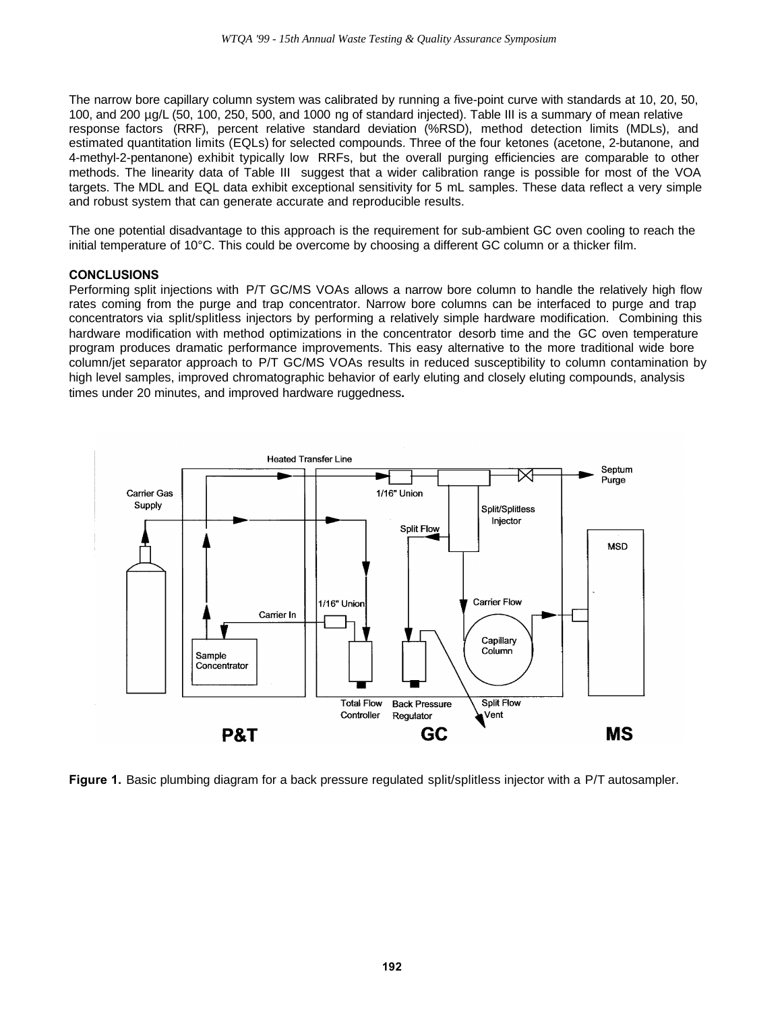The narrow bore capillary column system was calibrated by running a five-point curve with standards at 10, 20, 50, 100, and 200 µg/L (50, 100, 250, 500, and 1000 ng of standard injected). Table III is a summary of mean relative response factors (RRF), percent relative standard deviation (%RSD), method detection limits (MDLs), and estimated quantitation limits (EQLs) for selected compounds. Three of the four ketones (acetone, 2-butanone, and 4-methyl-2-pentanone) exhibit typically low RRFs, but the overall purging efficiencies are comparable to other methods. The linearity data of Table III suggest that a wider calibration range is possible for most of the VOA targets. The MDL and EQL data exhibit exceptional sensitivity for 5 mL samples. These data reflect a very simple and robust system that can generate accurate and reproducible results.

The one potential disadvantage to this approach is the requirement for sub-ambient GC oven cooling to reach the initial temperature of 10°C. This could be overcome by choosing a different GC column or a thicker film.

#### **CONCLUSIONS**

Performing split injections with P/T GC/MS VOAs allows a narrow bore column to handle the relatively high flow rates coming from the purge and trap concentrator. Narrow bore columns can be interfaced to purge and trap concentrators via split/splitless injectors by performing a relatively simple hardware modification. Combining this hardware modification with method optimizations in the concentrator desorb time and the GC oven temperature program produces dramatic performance improvements. This easy alternative to the more traditional wide bore column/jet separator approach to P/T GC/MS VOAs results in reduced susceptibility to column contamination by high level samples, improved chromatographic behavior of early eluting and closely eluting compounds, analysis times under 20 minutes, and improved hardware ruggedness**.**



**Figure 1.** Basic plumbing diagram for a back pressure regulated split/splitless injector with a P/T autosampler.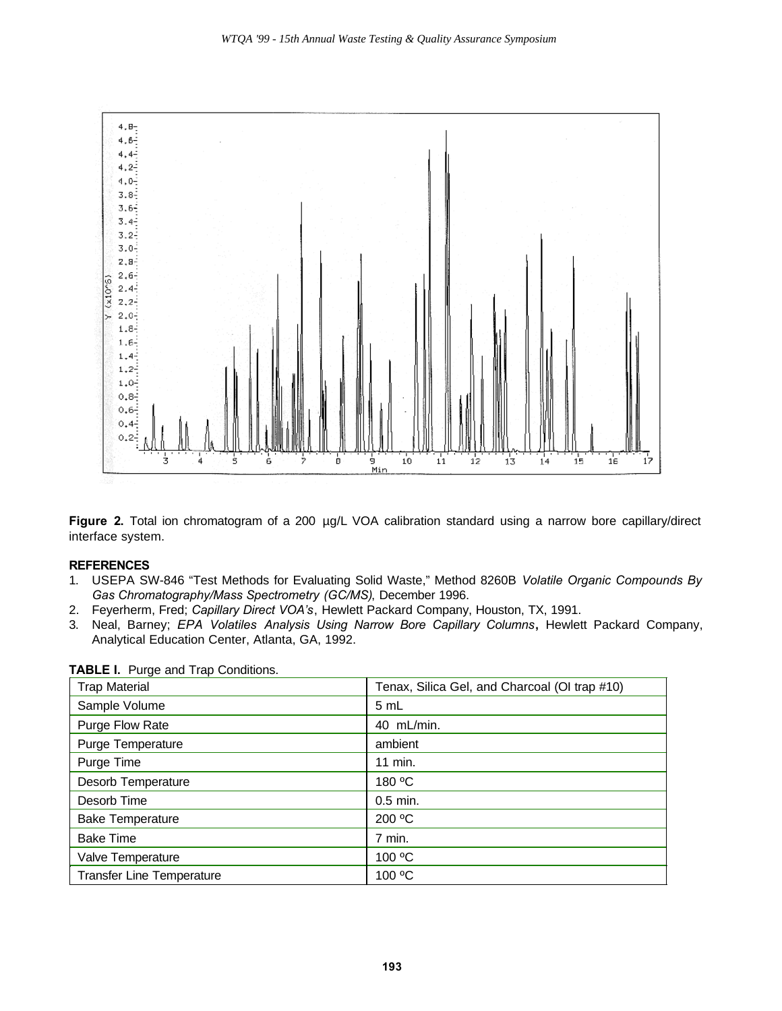

**Figure 2.** Total ion chromatogram of a 200 µg/L VOA calibration standard using a narrow bore capillary/direct interface system.

## **REFERENCES**

- 1. USEPA SW-846 "Test Methods for Evaluating Solid Waste," Method 8260B *Volatile Organic Compounds By Gas Chromatography/Mass Spectrometry (GC/MS)*, December 1996.
- 2. Feyerherm, Fred; *Capillary Direct VOA's*, Hewlett Packard Company, Houston, TX, 1991.
- 3. Neal, Barney; *EPA Volatiles Analysis Using Narrow Bore Capillary Columns***,** Hewlett Packard Company, Analytical Education Center, Atlanta, GA, 1992.

| <b>Trap Material</b>             | Tenax, Silica Gel, and Charcoal (OI trap #10) |  |
|----------------------------------|-----------------------------------------------|--|
| Sample Volume                    | 5 mL                                          |  |
| Purge Flow Rate                  | 40 mL/min.                                    |  |
| Purge Temperature                | ambient                                       |  |
| Purge Time                       | 11 min.                                       |  |
| Desorb Temperature               | 180 °C                                        |  |
| Desorb Time                      | $0.5$ min.                                    |  |
| <b>Bake Temperature</b>          | 200 °C                                        |  |
| <b>Bake Time</b>                 | 7 min.                                        |  |
| Valve Temperature                | 100 °C                                        |  |
| <b>Transfer Line Temperature</b> | 100 °C                                        |  |

# **TABLE I.** Purge and Trap Conditions.